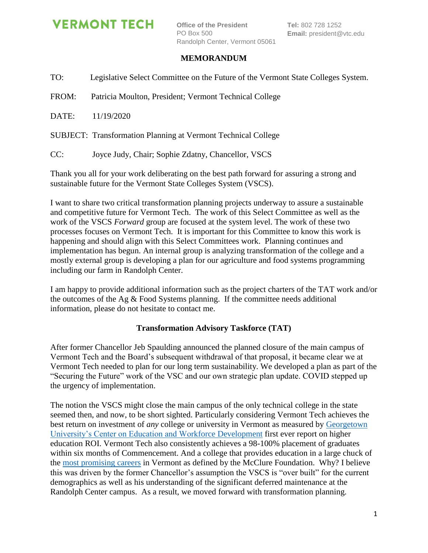# **VERMONT TECH**

**Office of the President** PO Box 500 Randolph Center, Vermont 05061

## **MEMORANDUM**

TO: Legislative Select Committee on the Future of the Vermont State Colleges System.

FROM: Patricia Moulton, President; Vermont Technical College

DATE: 11/19/2020

SUBJECT: Transformation Planning at Vermont Technical College

CC: Joyce Judy, Chair; Sophie Zdatny, Chancellor, VSCS

Thank you all for your work deliberating on the best path forward for assuring a strong and sustainable future for the Vermont State Colleges System (VSCS).

I want to share two critical transformation planning projects underway to assure a sustainable and competitive future for Vermont Tech. The work of this Select Committee as well as the work of the VSCS *Forward* group are focused at the system level. The work of these two processes focuses on Vermont Tech. It is important for this Committee to know this work is happening and should align with this Select Committees work. Planning continues and implementation has begun. An internal group is analyzing transformation of the college and a mostly external group is developing a plan for our agriculture and food systems programming including our farm in Randolph Center.

I am happy to provide additional information such as the project charters of the TAT work and/or the outcomes of the Ag  $&$  Food Systems planning. If the committee needs additional information, please do not hesitate to contact me.

### **Transformation Advisory Taskforce (TAT)**

After former Chancellor Jeb Spaulding announced the planned closure of the main campus of Vermont Tech and the Board's subsequent withdrawal of that proposal, it became clear we at Vermont Tech needed to plan for our long term sustainability. We developed a plan as part of the "Securing the Future" work of the VSC and our own strategic plan update. COVID stepped up the urgency of implementation.

The notion the VSCS might close the main campus of the only technical college in the state seemed then, and now, to be short sighted. Particularly considering Vermont Tech achieves the best return on investment of *any* college or university in Vermont as measured by [Georgetown](https://cew.georgetown.edu/cew-reports/CollegeROI/)  [University's Center on Education and Workforce Development](https://cew.georgetown.edu/cew-reports/CollegeROI/) first ever report on higher education ROI. Vermont Tech also consistently achieves a 98-100% placement of graduates within six months of Commencement. And a college that provides education in a large chuck of the [most promising careers](https://mcclurevt.org/most-promising-jobs/) in Vermont as defined by the McClure Foundation. Why? I believe this was driven by the former Chancellor's assumption the VSCS is "over built" for the current demographics as well as his understanding of the significant deferred maintenance at the Randolph Center campus. As a result, we moved forward with transformation planning.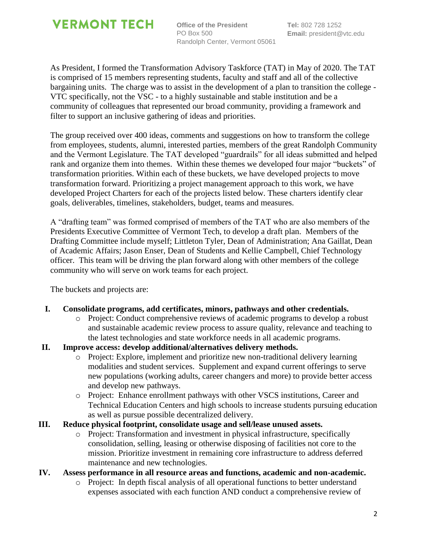

**Office of the President** PO Box 500 Randolph Center, Vermont 05061

As President, I formed the Transformation Advisory Taskforce (TAT) in May of 2020. The TAT is comprised of 15 members representing students, faculty and staff and all of the collective bargaining units. The charge was to assist in the development of a plan to transition the college - VTC specifically, not the VSC - to a highly sustainable and stable institution and be a community of colleagues that represented our broad community, providing a framework and filter to support an inclusive gathering of ideas and priorities.

The group received over 400 ideas, comments and suggestions on how to transform the college from employees, students, alumni, interested parties, members of the great Randolph Community and the Vermont Legislature. The TAT developed "guardrails" for all ideas submitted and helped rank and organize them into themes. Within these themes we developed four major "buckets" of transformation priorities. Within each of these buckets, we have developed projects to move transformation forward. Prioritizing a project management approach to this work, we have developed Project Charters for each of the projects listed below. These charters identify clear goals, deliverables, timelines, stakeholders, budget, teams and measures.

A "drafting team" was formed comprised of members of the TAT who are also members of the Presidents Executive Committee of Vermont Tech, to develop a draft plan. Members of the Drafting Committee include myself; Littleton Tyler, Dean of Administration; Ana Gaillat, Dean of Academic Affairs; Jason Enser, Dean of Students and Kellie Campbell, Chief Technology officer. This team will be driving the plan forward along with other members of the college community who will serve on work teams for each project.

The buckets and projects are:

- **I. Consolidate programs, add certificates, minors, pathways and other credentials.**
	- o Project: Conduct comprehensive reviews of academic programs to develop a robust and sustainable academic review process to assure quality, relevance and teaching to the latest technologies and state workforce needs in all academic programs.
- **II. Improve access: develop additional/alternatives delivery methods.**
	- o Project: Explore, implement and prioritize new non-traditional delivery learning modalities and student services. Supplement and expand current offerings to serve new populations (working adults, career changers and more) to provide better access and develop new pathways.
	- o Project: Enhance enrollment pathways with other VSCS institutions, Career and Technical Education Centers and high schools to increase students pursuing education as well as pursue possible decentralized delivery.

### **III. Reduce physical footprint, consolidate usage and sell/lease unused assets.**

o Project: Transformation and investment in physical infrastructure, specifically consolidation, selling, leasing or otherwise disposing of facilities not core to the mission. Prioritize investment in remaining core infrastructure to address deferred maintenance and new technologies.

#### **IV. Assess performance in all resource areas and functions, academic and non-academic.**

o Project: In depth fiscal analysis of all operational functions to better understand expenses associated with each function AND conduct a comprehensive review of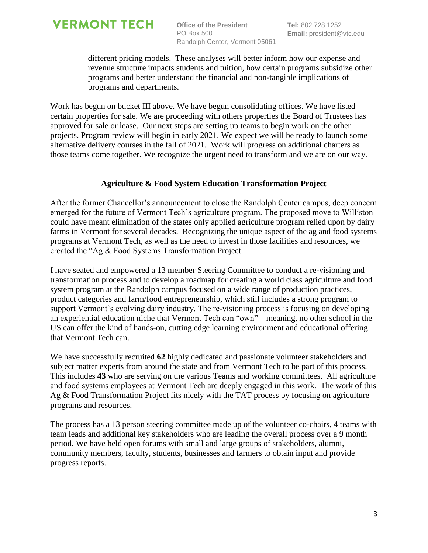

**Office of the President** PO Box 500 Randolph Center, Vermont 05061

different pricing models. These analyses will better inform how our expense and revenue structure impacts students and tuition, how certain programs subsidize other programs and better understand the financial and non-tangible implications of programs and departments.

Work has begun on bucket III above. We have begun consolidating offices. We have listed certain properties for sale. We are proceeding with others properties the Board of Trustees has approved for sale or lease. Our next steps are setting up teams to begin work on the other projects. Program review will begin in early 2021. We expect we will be ready to launch some alternative delivery courses in the fall of 2021. Work will progress on additional charters as those teams come together. We recognize the urgent need to transform and we are on our way.

#### **Agriculture & Food System Education Transformation Project**

After the former Chancellor's announcement to close the Randolph Center campus, deep concern emerged for the future of Vermont Tech's agriculture program. The proposed move to Williston could have meant elimination of the states only applied agriculture program relied upon by dairy farms in Vermont for several decades. Recognizing the unique aspect of the ag and food systems programs at Vermont Tech, as well as the need to invest in those facilities and resources, we created the "Ag & Food Systems Transformation Project.

I have seated and empowered a 13 member Steering Committee to conduct a re-visioning and transformation process and to develop a roadmap for creating a world class agriculture and food system program at the Randolph campus focused on a wide range of production practices, product categories and farm/food entrepreneurship, which still includes a strong program to support Vermont's evolving dairy industry. The re-visioning process is focusing on developing an experiential education niche that Vermont Tech can "own" – meaning, no other school in the US can offer the kind of hands-on, cutting edge learning environment and educational offering that Vermont Tech can.

We have successfully recruited **62** highly dedicated and passionate volunteer stakeholders and subject matter experts from around the state and from Vermont Tech to be part of this process. This includes **43** who are serving on the various Teams and working committees. All agriculture and food systems employees at Vermont Tech are deeply engaged in this work. The work of this Ag & Food Transformation Project fits nicely with the TAT process by focusing on agriculture programs and resources.

The process has a 13 person steering committee made up of the volunteer co-chairs, 4 teams with team leads and additional key stakeholders who are leading the overall process over a 9 month period. We have held open forums with small and large groups of stakeholders, alumni, community members, faculty, students, businesses and farmers to obtain input and provide progress reports.